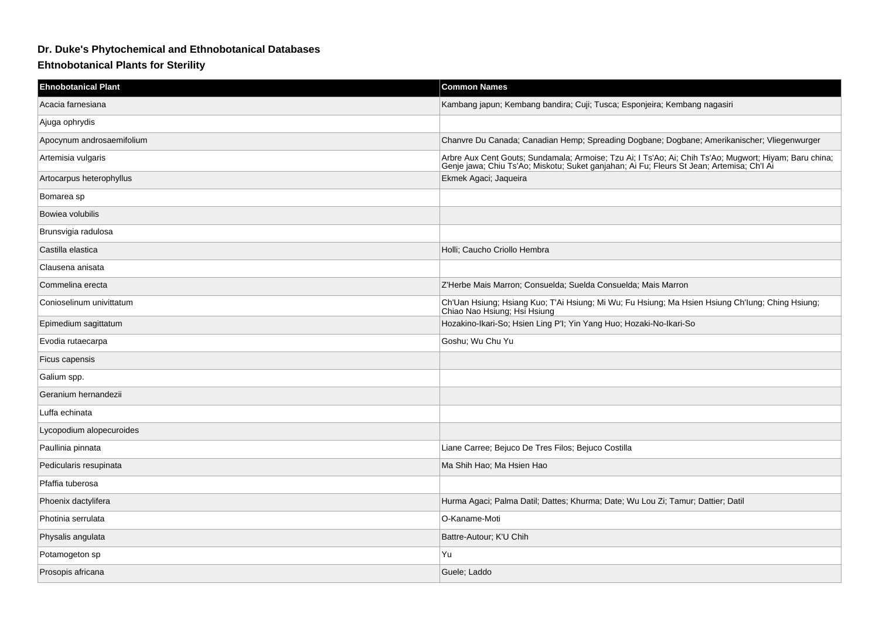## **Dr. Duke's Phytochemical and Ethnobotanical Databases**

## **Ehtnobotanical Plants for Sterility**

| <b>Ehnobotanical Plant</b> | <b>Common Names</b>                                                                                                                                                                                 |
|----------------------------|-----------------------------------------------------------------------------------------------------------------------------------------------------------------------------------------------------|
| Acacia farnesiana          | Kambang japun; Kembang bandira; Cuji; Tusca; Esponjeira; Kembang nagasiri                                                                                                                           |
| Ajuga ophrydis             |                                                                                                                                                                                                     |
| Apocynum androsaemifolium  | Chanvre Du Canada; Canadian Hemp; Spreading Dogbane; Dogbane; Amerikanischer; Vliegenwurger                                                                                                         |
| Artemisia vulgaris         | Arbre Aux Cent Gouts; Sundamala; Armoise; Tzu Ai; I Ts'Ao; Ai; Chih Ts'Ao; Mugwort; Hiyam; Baru china;<br>Genje jawa; Chiu Ts'Ao; Miskotu; Suket ganjahan; Ai Fu; Fleurs St Jean; Artemisa; Ch'l Ai |
| Artocarpus heterophyllus   | Ekmek Agaci; Jaqueira                                                                                                                                                                               |
| Bomarea sp                 |                                                                                                                                                                                                     |
| Bowiea volubilis           |                                                                                                                                                                                                     |
| Brunsvigia radulosa        |                                                                                                                                                                                                     |
| Castilla elastica          | Holli; Caucho Criollo Hembra                                                                                                                                                                        |
| Clausena anisata           |                                                                                                                                                                                                     |
| Commelina erecta           | Z'Herbe Mais Marron; Consuelda; Suelda Consuelda; Mais Marron                                                                                                                                       |
| Conioselinum univittatum   | Ch'Uan Hsiung; Hsiang Kuo; T'Ai Hsiung; Mi Wu; Fu Hsiung; Ma Hsien Hsiung Ch'Iung; Ching Hsiung;<br>Chiao Nao Hsiung; Hsi Hsiung                                                                    |
| Epimedium sagittatum       | Hozakino-Ikari-So; Hsien Ling P'l; Yin Yang Huo; Hozaki-No-Ikari-So                                                                                                                                 |
| Evodia rutaecarpa          | Goshu; Wu Chu Yu                                                                                                                                                                                    |
| Ficus capensis             |                                                                                                                                                                                                     |
| Galium spp.                |                                                                                                                                                                                                     |
| Geranium hernandezii       |                                                                                                                                                                                                     |
| Luffa echinata             |                                                                                                                                                                                                     |
| Lycopodium alopecuroides   |                                                                                                                                                                                                     |
| Paullinia pinnata          | Liane Carree; Bejuco De Tres Filos; Bejuco Costilla                                                                                                                                                 |
| Pedicularis resupinata     | Ma Shih Hao; Ma Hsien Hao                                                                                                                                                                           |
| Pfaffia tuberosa           |                                                                                                                                                                                                     |
| Phoenix dactylifera        | Hurma Agaci; Palma Datil; Dattes; Khurma; Date; Wu Lou Zi; Tamur; Dattier; Datil                                                                                                                    |
| Photinia serrulata         | O-Kaname-Moti                                                                                                                                                                                       |
| Physalis angulata          | Battre-Autour; K'U Chih                                                                                                                                                                             |
| Potamogeton sp             | Yu                                                                                                                                                                                                  |
| Prosopis africana          | Guele; Laddo                                                                                                                                                                                        |